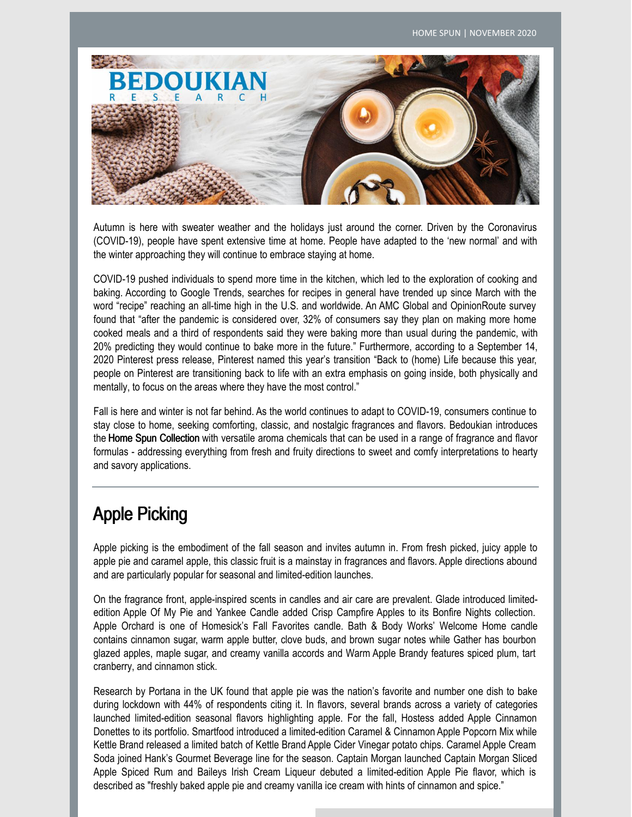

Autumn is here with sweater weather and the holidays just around the corner. Driven by the Coronavirus (COVID-19), people have spent extensive time at home. People have adapted to the 'new normal' and with the winter approaching they will continue to embrace staying at home.

COVID-19 pushed individuals to spend more time in the kitchen, which led to the exploration of cooking and baking. According to Google Trends, searches for recipes in general have trended up since March with the word "recipe" reaching an all-time high in the U.S. and worldwide. An AMC Global and OpinionRoute survey found that "after the pandemic is considered over, 32% of consumers say they plan on making more home cooked meals and a third of respondents said they were baking more than usual during the pandemic, with 20% predicting they would continue to bake more in the future." Furthermore, according to a September 14, 2020 Pinterest press release, Pinterest named this year's transition "Back to (home) Life because this year, people on Pinterest are transitioning back to life with an extra emphasis on going inside, both physically and mentally, to focus on the areas where they have the most control."

Fall is here and winter is not far behind. As the world continues to adapt to COVID-19, consumers continue to stay close to home, seeking comforting, classic, and nostalgic fragrances and flavors. Bedoukian introduces the Home Spun Collection with versatile aroma chemicals that can be used in a range of fragrance and flavor formulas - addressing everything from fresh and fruity directions to sweet and comfy interpretations to hearty and savory applications.

## Apple Picking

Apple picking is the embodiment of the fall season and invites autumn in. From fresh picked, juicy apple to apple pie and caramel apple, this classic fruit is a mainstay in fragrances and flavors. Apple directions abound and are particularly popular for seasonal and limited-edition launches.

On the fragrance front, apple-inspired scents in candles and air care are prevalent. Glade introduced limitededition Apple Of My Pie and Yankee Candle added Crisp Campfire Apples to its Bonfire Nights collection. Apple Orchard is one of Homesick's Fall Favorites candle. Bath & Body Works' Welcome Home candle contains cinnamon sugar, warm apple butter, clove buds, and brown sugar notes while Gather has bourbon glazed apples, maple sugar, and creamy vanilla accords and Warm Apple Brandy features spiced plum, tart cranberry, and cinnamon stick.

Research by Portana in the UK found that apple pie was the nation's favorite and number one dish to bake during lockdown with 44% of respondents citing it. In flavors, several brands across a variety of categories launched limited-edition seasonal flavors highlighting apple. For the fall, Hostess added Apple Cinnamon Donettes to its portfolio. Smartfood introduced a limited-edition Caramel & Cinnamon Apple Popcorn Mix while Kettle Brand released a limited batch of Kettle Brand Apple Cider Vinegar potato chips. Caramel Apple Cream Soda joined Hank's Gourmet Beverage line for the season. Captain Morgan launched Captain Morgan Sliced Apple Spiced Rum and Baileys Irish Cream Liqueur debuted a limited-edition Apple Pie flavor, which is described as "freshly baked apple pie and creamy vanilla ice cream with hints of cinnamon and spice."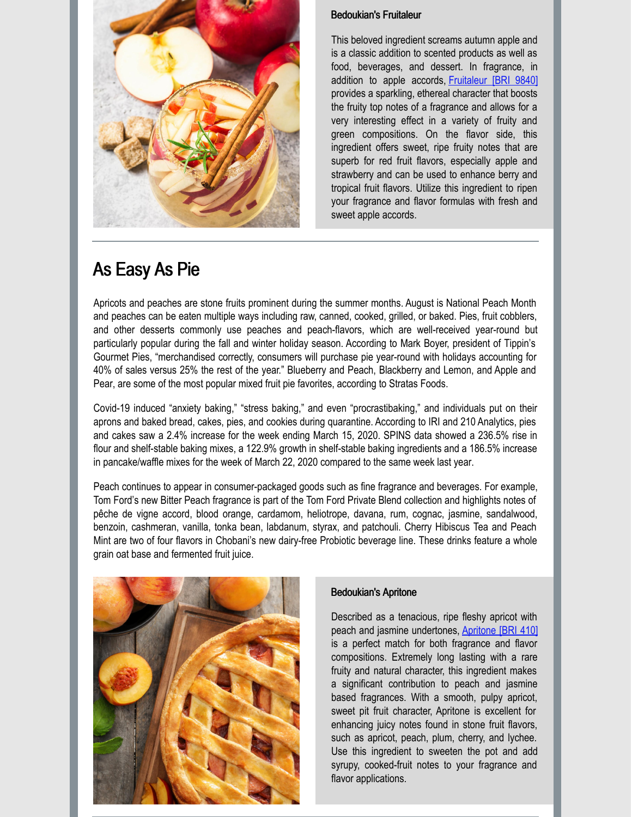

### Bedoukian's Fruitaleur

This beloved ingredient screams autumn apple and is a classic addition to scented products as well as food, beverages, and dessert. In fragrance, in addition to apple accords, [Fruitaleur](https://search.bedoukian.com/flavorfragrance/ff_product.asp?method=POP&id=9840) [BRI 9840] provides a sparkling, ethereal character that boosts the fruity top notes of a fragrance and allows for a very interesting effect in a variety of fruity and green compositions. On the flavor side, this ingredient offers sweet, ripe fruity notes that are superb for red fruit flavors, especially apple and strawberry and can be used to enhance berry and tropical fruit flavors. Utilize this ingredient to ripen your fragrance and flavor formulas with fresh and sweet apple accords.

# As Easy As Pie

Apricots and peaches are stone fruits prominent during the summer months. August is National Peach Month and peaches can be eaten multiple ways including raw, canned, cooked, grilled, or baked. Pies, fruit cobblers, and other desserts commonly use peaches and peach-flavors, which are well-received year-round but particularly popular during the fall and winter holiday season. According to Mark Boyer, president of Tippin's Gourmet Pies, "merchandised correctly, consumers will purchase pie year-round with holidays accounting for 40% of sales versus 25% the rest of the year." Blueberry and Peach, Blackberry and Lemon, and Apple and Pear, are some of the most popular mixed fruit pie favorites, according to Stratas Foods.

Covid-19 induced "anxiety baking," "stress baking," and even "procrastibaking," and individuals put on their aprons and baked bread, cakes, pies, and cookies during quarantine. According to IRI and 210 Analytics, pies and cakes saw a 2.4% increase for the week ending March 15, 2020. SPINS data showed a 236.5% rise in flour and shelf-stable baking mixes, a 122.9% growth in shelf-stable baking ingredients and a 186.5% increase in pancake/waffle mixes for the week of March 22, 2020 compared to the same week last year.

Peach continues to appear in consumer-packaged goods such as fine fragrance and beverages. For example, Tom Ford's new Bitter Peach fragrance is part of the Tom Ford Private Blend collection and highlights notes of pêche de vigne accord, blood orange, cardamom, heliotrope, davana, rum, cognac, jasmine, sandalwood, benzoin, cashmeran, vanilla, tonka bean, labdanum, styrax, and patchouli. Cherry Hibiscus Tea and Peach Mint are two of four flavors in Chobani's new dairy-free Probiotic beverage line. These drinks feature a whole grain oat base and fermented fruit juice.



### Bedoukian's Apritone

Described as a tenacious, ripe fleshy apricot with peach and jasmine undertones, [Apritone](https://search.bedoukian.com/flavorfragrance/ff_product.asp?method=POP&id=410) [BRI 410] is a perfect match for both fragrance and flavor compositions. Extremely long lasting with a rare fruity and natural character, this ingredient makes a significant contribution to peach and jasmine based fragrances. With a smooth, pulpy apricot, sweet pit fruit character, Apritone is excellent for enhancing juicy notes found in stone fruit flavors, such as apricot, peach, plum, cherry, and lychee. Use this ingredient to sweeten the pot and add syrupy, cooked-fruit notes to your fragrance and flavor applications.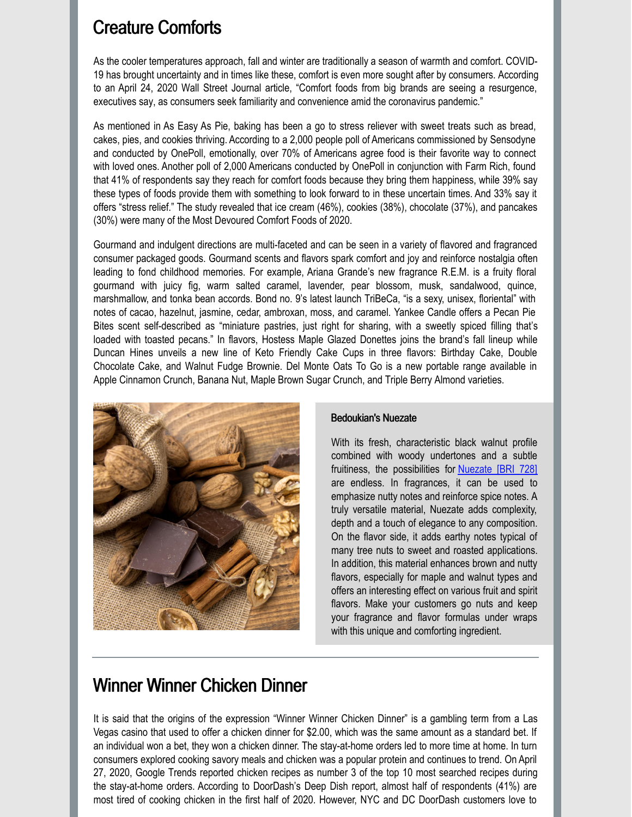### Creature Comforts

As the cooler temperatures approach, fall and winter are traditionally a season of warmth and comfort. COVID-19 has brought uncertainty and in times like these, comfort is even more sought after by consumers. According to an April 24, 2020 Wall Street Journal article, "Comfort foods from big brands are seeing a resurgence, executives say, as consumers seek familiarity and convenience amid the coronavirus pandemic."

As mentioned in As Easy As Pie, baking has been a go to stress reliever with sweet treats such as bread, cakes, pies, and cookies thriving. According to a 2,000 people poll of Americans commissioned by Sensodyne and conducted by OnePoll, emotionally, over 70% of Americans agree food is their favorite way to connect with loved ones. Another poll of 2,000 Americans conducted by OnePoll in conjunction with Farm Rich, found that 41% of respondents say they reach for comfort foods because they bring them happiness, while 39% say these types of foods provide them with something to look forward to in these uncertain times. And 33% say it offers "stress relief." The study revealed that ice cream (46%), cookies (38%), chocolate (37%), and pancakes (30%) were many of the Most Devoured Comfort Foods of 2020.

Gourmand and indulgent directions are multi-faceted and can be seen in a variety of flavored and fragranced consumer packaged goods. Gourmand scents and flavors spark comfort and joy and reinforce nostalgia often leading to fond childhood memories. For example, Ariana Grande's new fragrance R.E.M. is a fruity floral gourmand with juicy fig, warm salted caramel, lavender, pear blossom, musk, sandalwood, quince, marshmallow, and tonka bean accords. Bond no. 9's latest launch TriBeCa, "is a sexy, unisex, floriental" with notes of cacao, hazelnut, jasmine, cedar, ambroxan, moss, and caramel. Yankee Candle offers a Pecan Pie Bites scent self-described as "miniature pastries, just right for sharing, with a sweetly spiced filling that's loaded with toasted pecans." In flavors, Hostess Maple Glazed Donettes joins the brand's fall lineup while Duncan Hines unveils a new line of Keto Friendly Cake Cups in three flavors: Birthday Cake, Double Chocolate Cake, and Walnut Fudge Brownie. Del Monte Oats To Go is a new portable range available in Apple Cinnamon Crunch, Banana Nut, Maple Brown Sugar Crunch, and Triple Berry Almond varieties.



#### Bedoukian's Nuezate

With its fresh, characteristic black walnut profile combined with woody undertones and a subtle fruitiness, the possibilities for **[Nuezate](https://search.bedoukian.com/flavorfragrance/ff_product.asp?method=POP&id=728) [BRI 728]** are endless. In fragrances, it can be used to emphasize nutty notes and reinforce spice notes. A truly versatile material, Nuezate adds complexity, depth and a touch of elegance to any composition. On the flavor side, it adds earthy notes typical of many tree nuts to sweet and roasted applications. In addition, this material enhances brown and nutty flavors, especially for maple and walnut types and offers an interesting effect on various fruit and spirit flavors. Make your customers go nuts and keep your fragrance and flavor formulas under wraps with this unique and comforting ingredient.

### Winner Winner Chicken Dinner

It is said that the origins of the expression "Winner Winner Chicken Dinner" is a gambling term from a Las Vegas casino that used to offer a chicken dinner for \$2.00, which was the same amount as a standard bet. If an individual won a bet, they won a chicken dinner. The stay-at-home orders led to more time at home. In turn consumers explored cooking savory meals and chicken was a popular protein and continues to trend. On April 27, 2020, Google Trends reported chicken recipes as number 3 of the top 10 most searched recipes during the stay-at-home orders. According to DoorDash's Deep Dish report, almost half of respondents (41%) are most tired of cooking chicken in the first half of 2020. However, NYC and DC DoorDash customers love to